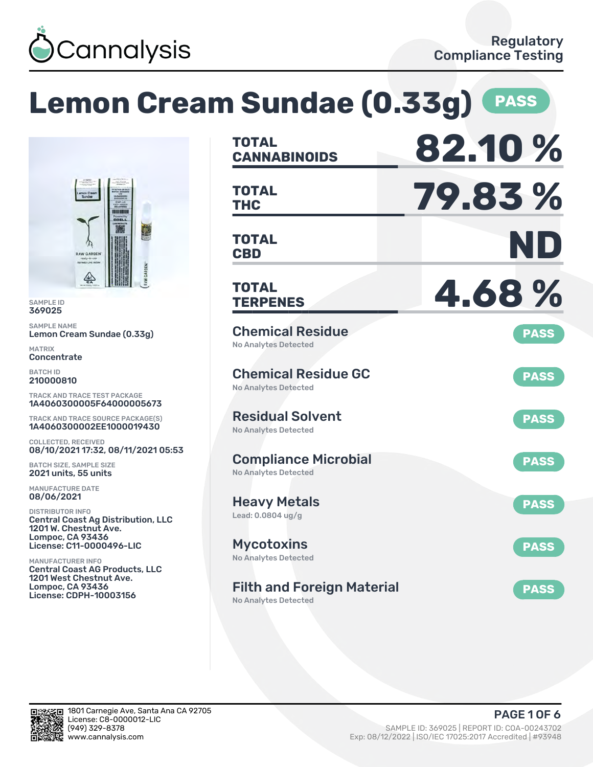

# **Lemon Cream Sundae (0.33g) PASS**



SAMPLE ID 369025

SAMPLE NAME Lemon Cream Sundae (0.33g)

MATRIX Concentrate

BATCH ID 210000810

TRACK AND TRACE TEST PACKAGE 1A4060300005F64000005673

TRACK AND TRACE SOURCE PACKAGE(S) 1A4060300002EE1000019430

COLLECTED, RECEIVED 08/10/2021 17:32, 08/11/2021 05:53

BATCH SIZE, SAMPLE SIZE 2021 units, 55 units

MANUFACTURE DATE 08/06/2021

DISTRIBUTOR INFO Central Coast Ag Distribution, LLC 1201 W. Chestnut Ave. Lompoc, CA 93436 License: C11-0000496-LIC

MANUFACTURER INFO Central Coast AG Products, LLC 1201 West Chestnut Ave. Lompoc, CA 93436 License: CDPH-10003156

| <b>TOTAL</b><br><b>CANNABINOIDS</b>                              | 82.10%      |
|------------------------------------------------------------------|-------------|
| <b>TOTAL</b><br><b>THC</b>                                       | 79.83%      |
| <b>TOTAL</b><br><b>CBD</b>                                       | ND          |
| TOTAL<br><b>TERPENES</b>                                         | 4.68%       |
| <b>Chemical Residue</b><br><b>No Analytes Detected</b>           | <b>PASS</b> |
| <b>Chemical Residue GC</b><br><b>No Analytes Detected</b>        | <b>PASS</b> |
| <b>Residual Solvent</b><br><b>No Analytes Detected</b>           | <b>PASS</b> |
| <b>Compliance Microbial</b><br><b>No Analytes Detected</b>       | <b>PASS</b> |
| <b>Heavy Metals</b><br>Lead: 0.0804 ug/g                         | <b>PASS</b> |
| <b>Mycotoxins</b><br>No Analytes Detected                        | <b>PASS</b> |
| <b>Filth and Foreign Material</b><br><b>No Analytes Detected</b> | <b>PASS</b> |

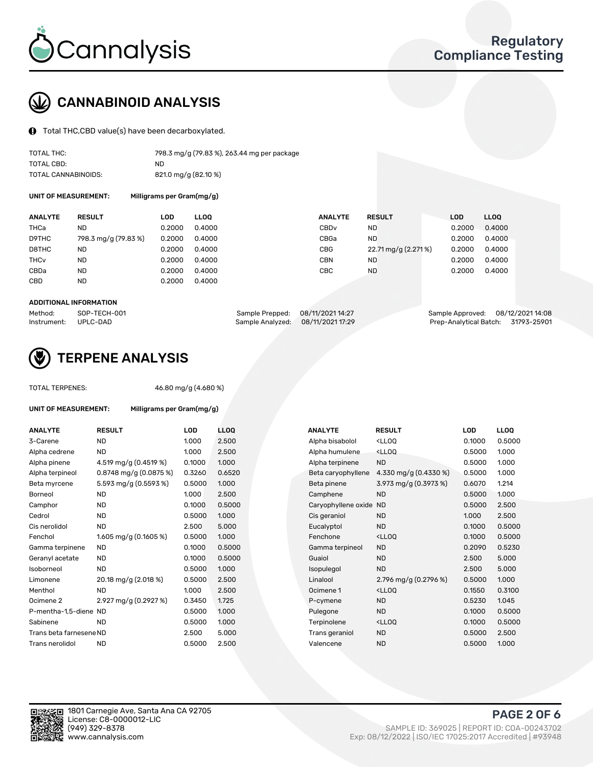

# CANNABINOID ANALYSIS

Total THC,CBD value(s) have been decarboxylated.

| TOTAL THC:          | 798.3 mg/g (79.83 %), 263.44 mg per package |
|---------------------|---------------------------------------------|
| TOTAL CBD:          | ND                                          |
| TOTAL CANNABINOIDS: | 821.0 mg/g (82.10 %)                        |

UNIT OF MEASUREMENT: Milligrams per Gram(mg/g)

| <b>ANALYTE</b>         | <b>RESULT</b>        | <b>LOD</b> | <b>LLOO</b> | <b>ANALYTE</b>   | <b>RESULT</b>       | <b>LOD</b> | LL <sub>00</sub> |
|------------------------|----------------------|------------|-------------|------------------|---------------------|------------|------------------|
| THCa                   | ND                   | 0.2000     | 0.4000      | CBD <sub>v</sub> | ND                  | 0.2000     | 0.4000           |
| D9THC                  | 798.3 mg/g (79.83 %) | 0.2000     | 0.4000      | CBGa             | <b>ND</b>           | 0.2000     | 0.4000           |
| D8THC                  | ND                   | 0.2000     | 0.4000      | <b>CBG</b>       | 22.71 mg/g (2.271%) | 0.2000     | 0.4000           |
| <b>THC<sub>v</sub></b> | ND                   | 0.2000     | 0.4000      | <b>CBN</b>       | ND                  | 0.2000     | 0.4000           |
| CBDa                   | <b>ND</b>            | 0.2000     | 0.4000      | CBC              | <b>ND</b>           | 0.2000     | 0.4000           |
| <b>CBD</b>             | <b>ND</b>            | 0.2000     | 0.4000      |                  |                     |            |                  |
|                        |                      |            |             |                  |                     |            |                  |

#### ADDITIONAL INFORMATION

| Method:              | SOP-TECH-001 | Sample Prepped: 08/11/2021 14:27  | Sample Approved: 08/12/2021 14:08  |  |
|----------------------|--------------|-----------------------------------|------------------------------------|--|
| Instrument: UPLC-DAD |              | Sample Analyzed: 08/11/2021 17:29 | Prep-Analytical Batch: 31793-25901 |  |



## TERPENE ANALYSIS

TOTAL TERPENES: 46.80 mg/g (4.680 %)

| <b>UNIT OF MEASUREMENT:</b> | Milligrams per Gram(mg/g) |        |            |
|-----------------------------|---------------------------|--------|------------|
| <b>ANALYTE</b>              | <b>RESULT</b>             | LOD    | <b>LLO</b> |
| 3-Carene                    | <b>ND</b>                 | 1.000  | 2.50       |
| Alpha cedrene               | <b>ND</b>                 | 1.000  | 2.50       |
| Alpha pinene                | 4.519 mg/g $(0.4519\%)$   | 0.1000 | 1.00       |
| Alpha terpineol             | $0.8748$ mg/g (0.0875 %)  | 0.3260 | 0.65       |
| Beta myrcene                | 5.593 mg/g (0.5593 %)     | 0.5000 | 1.00       |
| Borneol                     | <b>ND</b>                 | 1.000  | 2.50       |
| Camphor                     | <b>ND</b>                 | 0.1000 | 0.50       |
| Cedrol                      | <b>ND</b>                 | 0.5000 | 1.00       |
| Cis nerolidol               | <b>ND</b>                 | 2.500  | 5.00       |
| Fenchol                     | 1.605 mg/g $(0.1605\%)$   | 0.5000 | 1.00       |
| Gamma terpinene             | <b>ND</b>                 | 0.1000 | 0.50       |
| Geranyl acetate             | <b>ND</b>                 | 0.1000 | 0.50       |
| Isoborneol                  | <b>ND</b>                 | 0.5000 | 1.00       |
| Limonene                    | 20.18 mg/g (2.018 %)      | 0.5000 | 2.50       |
| Menthol                     | <b>ND</b>                 | 1.000  | 2.50       |
| Ocimene <sub>2</sub>        | 2.927 mg/g (0.2927 %)     | 0.3450 | 1.72!      |
| P-mentha-1,5-diene ND       |                           | 0.5000 | 1.00       |
| Sabinene                    | <b>ND</b>                 | 0.5000 | 1.00       |
| Trans beta farnesene ND     |                           | 2.500  | 5.00       |
| Trans nerolidol             | <b>ND</b>                 | 0.5000 | 2.50       |

| ANALYTE                 | <b>RESULT</b>             | <b>LOD</b> | <b>LLOQ</b> | <b>ANALYTE</b>      | <b>RESULT</b>                                       | <b>LOD</b> | <b>LLOQ</b> |
|-------------------------|---------------------------|------------|-------------|---------------------|-----------------------------------------------------|------------|-------------|
| 3-Carene                | <b>ND</b>                 | 1.000      | 2.500       | Alpha bisabolol     | <ll0q< td=""><td>0.1000</td><td>0.5000</td></ll0q<> | 0.1000     | 0.5000      |
| Alpha cedrene           | <b>ND</b>                 | 1.000      | 2.500       | Alpha humulene      | <lloq< td=""><td>0.5000</td><td>1.000</td></lloq<>  | 0.5000     | 1.000       |
| Alpha pinene            | 4.519 mg/g (0.4519 %)     | 0.1000     | 1.000       | Alpha terpinene     | <b>ND</b>                                           | 0.5000     | 1.000       |
| Alpha terpineol         | $0.8748$ mg/g $(0.0875%)$ | 0.3260     | 0.6520      | Beta caryophyllene  | 4.330 mg/g $(0.4330\%)$                             | 0.5000     | 1.000       |
| Beta myrcene            | 5.593 mg/g (0.5593 %)     | 0.5000     | 1.000       | Beta pinene         | 3.973 mg/g (0.3973 %)                               | 0.6070     | 1.214       |
| Borneol                 | <b>ND</b>                 | 1.000      | 2.500       | Camphene            | <b>ND</b>                                           | 0.5000     | 1.000       |
| Camphor                 | <b>ND</b>                 | 0.1000     | 0.5000      | Caryophyllene oxide | <b>ND</b>                                           | 0.5000     | 2.500       |
| Cedrol                  | <b>ND</b>                 | 0.5000     | 1.000       | Cis geraniol        | <b>ND</b>                                           | 1.000      | 2.500       |
| Cis nerolidol           | <b>ND</b>                 | 2.500      | 5.000       | Eucalyptol          | <b>ND</b>                                           | 0.1000     | 0.5000      |
| Fenchol                 | 1.605 mg/g $(0.1605\%)$   | 0.5000     | 1.000       | Fenchone            | <ll0q< td=""><td>0.1000</td><td>0.5000</td></ll0q<> | 0.1000     | 0.5000      |
| Gamma terpinene         | ND                        | 0.1000     | 0.5000      | Gamma terpineol     | <b>ND</b>                                           | 0.2090     | 0.5230      |
| Geranyl acetate         | <b>ND</b>                 | 0.1000     | 0.5000      | Guaiol              | <b>ND</b>                                           | 2.500      | 5.000       |
| Isoborneol              | <b>ND</b>                 | 0.5000     | 1.000       | Isopulegol          | <b>ND</b>                                           | 2.500      | 5.000       |
| Limonene                | 20.18 mg/g (2.018 %)      | 0.5000     | 2.500       | Linalool            | 2.796 mg/g $(0.2796\%)$                             | 0.5000     | 1.000       |
| Menthol                 | <b>ND</b>                 | 1.000      | 2.500       | Ocimene 1           | <ll0q< td=""><td>0.1550</td><td>0.3100</td></ll0q<> | 0.1550     | 0.3100      |
| Ocimene 2               | 2.927 mg/g (0.2927 %)     | 0.3450     | 1.725       | P-cymene            | <b>ND</b>                                           | 0.5230     | 1.045       |
| P-mentha-1,5-diene ND   |                           | 0.5000     | 1.000       | Pulegone            | <b>ND</b>                                           | 0.1000     | 0.5000      |
| Sabinene                | <b>ND</b>                 | 0.5000     | 1.000       | Terpinolene         | <lloq< td=""><td>0.1000</td><td>0.5000</td></lloq<> | 0.1000     | 0.5000      |
| Trans beta farnesene ND |                           | 2.500      | 5.000       | Trans geraniol      | <b>ND</b>                                           | 0.5000     | 2.500       |
| Trans nerolidol         | <b>ND</b>                 | 0.5000     | 2.500       | Valencene           | <b>ND</b>                                           | 0.5000     | 1.000       |
|                         |                           |            |             |                     |                                                     |            |             |

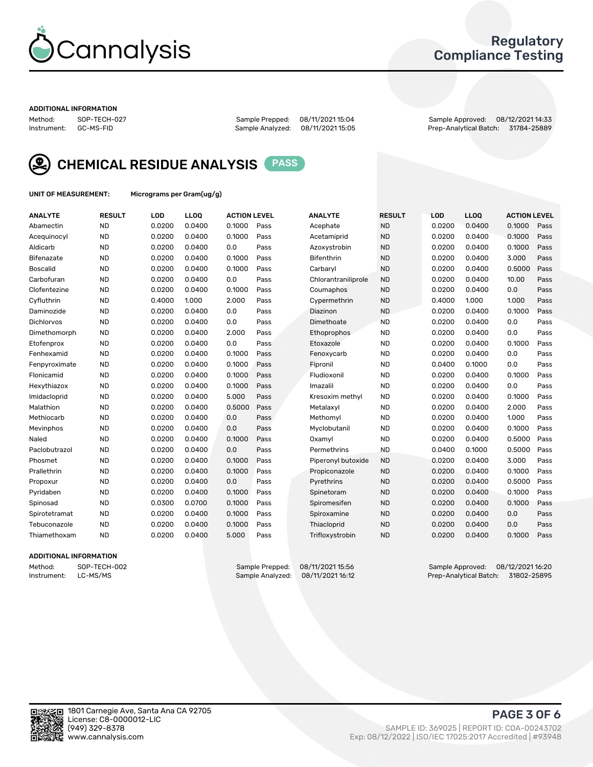

## Regulatory Compliance Testing

#### ADDITIONAL INFORMATION

Method: SOP-TECH-027 Sample Prepped: 08/11/2021 15:04 Sample Approved: 08/12/2021 14:33 Prep-Analytical Batch: 31784-25889



CHEMICAL RESIDUE ANALYSIS PASS

UNIT OF MEASUREMENT: Micrograms per Gram(ug/g)

| <b>ANALYTE</b>    | <b>RESULT</b> | LOD    | <b>LLOQ</b> | <b>ACTION LEVEL</b> |      | <b>ANALYTE</b>      | <b>RESULT</b> | <b>LOD</b> | <b>LLOQ</b> | <b>ACTION LEVEL</b> |      |
|-------------------|---------------|--------|-------------|---------------------|------|---------------------|---------------|------------|-------------|---------------------|------|
| Abamectin         | <b>ND</b>     | 0.0200 | 0.0400      | 0.1000              | Pass | Acephate            | <b>ND</b>     | 0.0200     | 0.0400      | 0.1000              | Pass |
| Acequinocyl       | <b>ND</b>     | 0.0200 | 0.0400      | 0.1000              | Pass | Acetamiprid         | <b>ND</b>     | 0.0200     | 0.0400      | 0.1000              | Pass |
| Aldicarb          | <b>ND</b>     | 0.0200 | 0.0400      | 0.0                 | Pass | Azoxystrobin        | <b>ND</b>     | 0.0200     | 0.0400      | 0.1000              | Pass |
| Bifenazate        | <b>ND</b>     | 0.0200 | 0.0400      | 0.1000              | Pass | <b>Bifenthrin</b>   | <b>ND</b>     | 0.0200     | 0.0400      | 3.000               | Pass |
| <b>Boscalid</b>   | <b>ND</b>     | 0.0200 | 0.0400      | 0.1000              | Pass | Carbarvl            | <b>ND</b>     | 0.0200     | 0.0400      | 0.5000              | Pass |
| Carbofuran        | <b>ND</b>     | 0.0200 | 0.0400      | 0.0                 | Pass | Chlorantraniliprole | <b>ND</b>     | 0.0200     | 0.0400      | 10.00               | Pass |
| Clofentezine      | <b>ND</b>     | 0.0200 | 0.0400      | 0.1000              | Pass | Coumaphos           | <b>ND</b>     | 0.0200     | 0.0400      | 0.0                 | Pass |
| Cyfluthrin        | <b>ND</b>     | 0.4000 | 1.000       | 2.000               | Pass | Cypermethrin        | <b>ND</b>     | 0.4000     | 1.000       | 1.000               | Pass |
| Daminozide        | <b>ND</b>     | 0.0200 | 0.0400      | 0.0                 | Pass | Diazinon            | <b>ND</b>     | 0.0200     | 0.0400      | 0.1000              | Pass |
| <b>Dichlorvos</b> | <b>ND</b>     | 0.0200 | 0.0400      | 0.0                 | Pass | Dimethoate          | <b>ND</b>     | 0.0200     | 0.0400      | 0.0                 | Pass |
| Dimethomorph      | <b>ND</b>     | 0.0200 | 0.0400      | 2.000               | Pass | <b>Ethoprophos</b>  | <b>ND</b>     | 0.0200     | 0.0400      | 0.0                 | Pass |
| Etofenprox        | <b>ND</b>     | 0.0200 | 0.0400      | 0.0                 | Pass | Etoxazole           | <b>ND</b>     | 0.0200     | 0.0400      | 0.1000              | Pass |
| Fenhexamid        | <b>ND</b>     | 0.0200 | 0.0400      | 0.1000              | Pass | Fenoxycarb          | <b>ND</b>     | 0.0200     | 0.0400      | 0.0                 | Pass |
| Fenpyroximate     | <b>ND</b>     | 0.0200 | 0.0400      | 0.1000              | Pass | Fipronil            | <b>ND</b>     | 0.0400     | 0.1000      | 0.0                 | Pass |
| Flonicamid        | <b>ND</b>     | 0.0200 | 0.0400      | 0.1000              | Pass | Fludioxonil         | <b>ND</b>     | 0.0200     | 0.0400      | 0.1000              | Pass |
| Hexythiazox       | <b>ND</b>     | 0.0200 | 0.0400      | 0.1000              | Pass | Imazalil            | <b>ND</b>     | 0.0200     | 0.0400      | 0.0                 | Pass |
| Imidacloprid      | <b>ND</b>     | 0.0200 | 0.0400      | 5.000               | Pass | Kresoxim methyl     | <b>ND</b>     | 0.0200     | 0.0400      | 0.1000              | Pass |
| Malathion         | <b>ND</b>     | 0.0200 | 0.0400      | 0.5000              | Pass | Metalaxyl           | <b>ND</b>     | 0.0200     | 0.0400      | 2.000               | Pass |
| Methiocarb        | <b>ND</b>     | 0.0200 | 0.0400      | 0.0                 | Pass | Methomyl            | <b>ND</b>     | 0.0200     | 0.0400      | 1.000               | Pass |
| Mevinphos         | <b>ND</b>     | 0.0200 | 0.0400      | 0.0                 | Pass | Myclobutanil        | <b>ND</b>     | 0.0200     | 0.0400      | 0.1000              | Pass |
| Naled             | <b>ND</b>     | 0.0200 | 0.0400      | 0.1000              | Pass | Oxamyl              | <b>ND</b>     | 0.0200     | 0.0400      | 0.5000              | Pass |
| Paclobutrazol     | <b>ND</b>     | 0.0200 | 0.0400      | 0.0                 | Pass | Permethrins         | <b>ND</b>     | 0.0400     | 0.1000      | 0.5000              | Pass |
| Phosmet           | <b>ND</b>     | 0.0200 | 0.0400      | 0.1000              | Pass | Piperonyl butoxide  | <b>ND</b>     | 0.0200     | 0.0400      | 3.000               | Pass |
| Prallethrin       | <b>ND</b>     | 0.0200 | 0.0400      | 0.1000              | Pass | Propiconazole       | <b>ND</b>     | 0.0200     | 0.0400      | 0.1000              | Pass |
| Propoxur          | <b>ND</b>     | 0.0200 | 0.0400      | 0.0                 | Pass | Pyrethrins          | <b>ND</b>     | 0.0200     | 0.0400      | 0.5000              | Pass |
| Pyridaben         | <b>ND</b>     | 0.0200 | 0.0400      | 0.1000              | Pass | Spinetoram          | <b>ND</b>     | 0.0200     | 0.0400      | 0.1000              | Pass |
| Spinosad          | <b>ND</b>     | 0.0300 | 0.0700      | 0.1000              | Pass | Spiromesifen        | <b>ND</b>     | 0.0200     | 0.0400      | 0.1000              | Pass |
| Spirotetramat     | <b>ND</b>     | 0.0200 | 0.0400      | 0.1000              | Pass | Spiroxamine         | <b>ND</b>     | 0.0200     | 0.0400      | 0.0                 | Pass |
| Tebuconazole      | <b>ND</b>     | 0.0200 | 0.0400      | 0.1000              | Pass | Thiacloprid         | <b>ND</b>     | 0.0200     | 0.0400      | 0.0                 | Pass |
| Thiamethoxam      | <b>ND</b>     | 0.0200 | 0.0400      | 5.000               | Pass | Trifloxystrobin     | <b>ND</b>     | 0.0200     | 0.0400      | 0.1000              | Pass |

### ADDITIONAL INFORMATION

Method: SOP-TECH-002 Sample Prepped: 08/11/2021 15:56 Sample Approved: 08/12/2021 16:20 Prep-Analytical Batch: 31802-25895

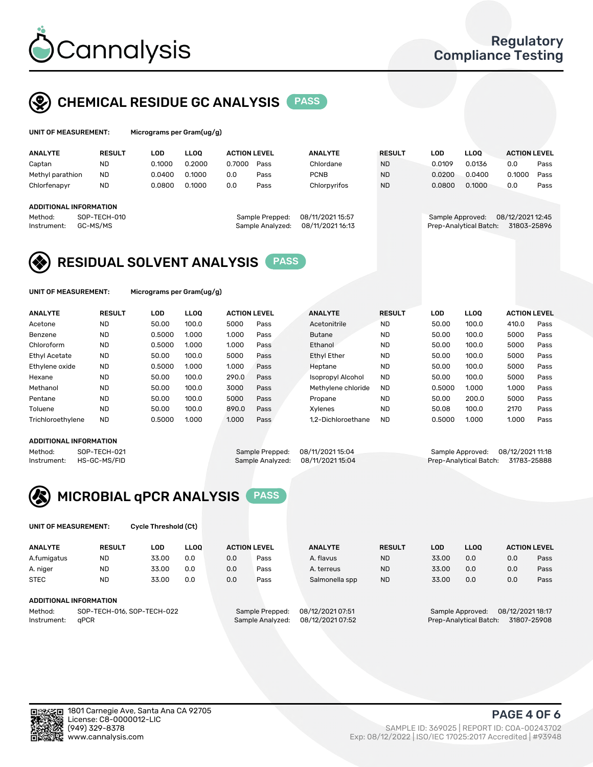

# CHEMICAL RESIDUE GC ANALYSIS PASS

| UNIT OF MEASUREMENT: |               | Micrograms per Gram(ug/g) |             |                     |      |                |               |        |             |                     |      |
|----------------------|---------------|---------------------------|-------------|---------------------|------|----------------|---------------|--------|-------------|---------------------|------|
| <b>ANALYTE</b>       | <b>RESULT</b> | LOD.                      | <b>LLOO</b> | <b>ACTION LEVEL</b> |      | <b>ANALYTE</b> | <b>RESULT</b> | LOD    | <b>LLOO</b> | <b>ACTION LEVEL</b> |      |
| Captan               | <b>ND</b>     | 0.1000                    | 0.2000      | 0.7000              | Pass | Chlordane      | <b>ND</b>     | 0.0109 | 0.0136      | 0.0                 | Pass |
| Methyl parathion     | ND            | 0.0400                    | 0.1000      | 0.0                 | Pass | <b>PCNB</b>    | <b>ND</b>     | 0.0200 | 0.0400      | 0.1000              | Pass |

## ADDITIONAL INFORMATION

| repped: | 08/11/2021 15:57 |  |
|---------|------------------|--|
| dlyzed: | 08/11/2021 16:13 |  |
|         |                  |  |

Chlorfenapyr ND 0.0800 0.1000 0.0 Pass Chlorpyrifos ND 0.0800 0.1000 0.0 Pass

Method: SOP-TECH-010 Sample Prepped: 08/11/2021 15:57 Sample Approved: 08/12/2021 12:45 Instrument: GC-MS/MS Sample Analyzed: 08/11/2021 16:13 Prep-Analytical Batch: 31803-25896



UNIT OF MEASUREMENT: Micrograms per Gram(ug/g)

| <b>ANALYTE</b>    | <b>RESULT</b> | LOD    | <b>LLOO</b> | <b>ACTION LEVEL</b> |      | <b>ANALYTE</b>           | <b>RESULT</b> | LOD    | LLOO  | <b>ACTION LEVEL</b> |      |
|-------------------|---------------|--------|-------------|---------------------|------|--------------------------|---------------|--------|-------|---------------------|------|
| Acetone           | <b>ND</b>     | 50.00  | 100.0       | 5000                | Pass | Acetonitrile             | <b>ND</b>     | 50.00  | 100.0 | 410.0               | Pass |
| Benzene           | <b>ND</b>     | 0.5000 | 1.000       | 1.000               | Pass | <b>Butane</b>            | <b>ND</b>     | 50.00  | 100.0 | 5000                | Pass |
| Chloroform        | <b>ND</b>     | 0.5000 | 1.000       | 1.000               | Pass | Ethanol                  | <b>ND</b>     | 50.00  | 100.0 | 5000                | Pass |
| Ethyl Acetate     | <b>ND</b>     | 50.00  | 100.0       | 5000                | Pass | <b>Ethyl Ether</b>       | <b>ND</b>     | 50.00  | 100.0 | 5000                | Pass |
| Ethylene oxide    | <b>ND</b>     | 0.5000 | 1.000       | 1.000               | Pass | Heptane                  | <b>ND</b>     | 50.00  | 100.0 | 5000                | Pass |
| Hexane            | <b>ND</b>     | 50.00  | 100.0       | 290.0               | Pass | <b>Isopropyl Alcohol</b> | <b>ND</b>     | 50.00  | 100.0 | 5000                | Pass |
| Methanol          | <b>ND</b>     | 50.00  | 100.0       | 3000                | Pass | Methylene chloride       | <b>ND</b>     | 0.5000 | 1.000 | 1.000               | Pass |
| Pentane           | <b>ND</b>     | 50.00  | 100.0       | 5000                | Pass | Propane                  | <b>ND</b>     | 50.00  | 200.0 | 5000                | Pass |
| Toluene           | <b>ND</b>     | 50.00  | 100.0       | 890.0               | Pass | Xvlenes                  | <b>ND</b>     | 50.08  | 100.0 | 2170                | Pass |
| Trichloroethylene | <b>ND</b>     | 0.5000 | 1.000       | 1.000               | Pass | 1.2-Dichloroethane       | <b>ND</b>     | 0.5000 | 1.000 | 1.000               | Pass |

#### ADDITIONAL INFORMATION

Method: SOP-TECH-021 Sample Prepped: 08/11/2021 15:04 Sample Approved: 08/12/2021 11:18<br>Instrument: HS-GC-MS/FID Sample Analyzed: 08/11/2021 15:04 Prep-Analytical Batch: 31783-25888 Prep-Analytical Batch: 31783-25888



UNIT OF MEASUREMENT: Cycle Threshold (Ct)

| <b>ANALYTE</b>         | <b>RESULT</b>              | LOD   | <b>LLOO</b> | <b>ACTION LEVEL</b> |                 | <b>ANALYTE</b>   | <b>RESULT</b> | LOD   | <b>LLOO</b>      |                  | <b>ACTION LEVEL</b> |
|------------------------|----------------------------|-------|-------------|---------------------|-----------------|------------------|---------------|-------|------------------|------------------|---------------------|
| A.fumigatus            | ND                         | 33.00 | 0.0         | 0.0                 | Pass            | A. flavus        | <b>ND</b>     | 33.00 | 0.0              | 0.0              | Pass                |
| A. niger               | <b>ND</b>                  | 33.00 | 0.0         | 0.0                 | Pass            | A. terreus       | <b>ND</b>     | 33.00 | 0.0              | 0.0              | Pass                |
| <b>STEC</b>            | <b>ND</b>                  | 33.00 | 0.0         | 0.0                 | Pass            | Salmonella spp   | <b>ND</b>     | 33.00 | 0.0              | 0.0              | Pass                |
| ADDITIONAL INFORMATION |                            |       |             |                     |                 |                  |               |       |                  |                  |                     |
| Method:                | SOP-TECH-016, SOP-TECH-022 |       |             |                     | Sample Prepped: | 08/12/2021 07:51 |               |       | Sample Approved: | 08/12/2021 18:17 |                     |

Instrument: qPCR Sample Analyzed: 08/12/2021 07:52 Prep-Analytical Batch: 31807-25908

PAGE 4 OF 6

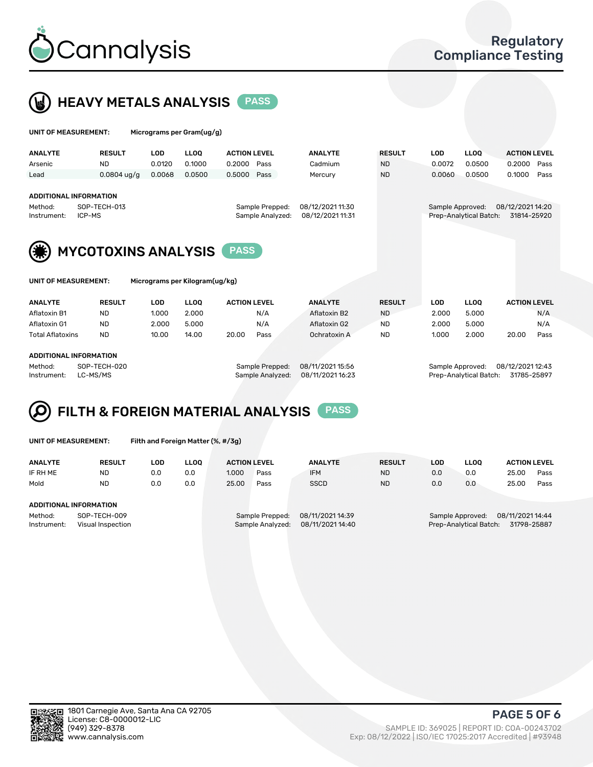



 $U$ UNIT OF MEASUREMENT: Micrograms per Gram(ug/g)

|                               |                            |            | .  barras por oranicagi gi     |                     |                  |                  |               |                  |                        |                     |      |
|-------------------------------|----------------------------|------------|--------------------------------|---------------------|------------------|------------------|---------------|------------------|------------------------|---------------------|------|
| <b>ANALYTE</b>                | <b>RESULT</b>              | <b>LOD</b> | <b>LLOO</b>                    | <b>ACTION LEVEL</b> |                  | <b>ANALYTE</b>   | <b>RESULT</b> | <b>LOD</b>       | <b>LLOQ</b>            | <b>ACTION LEVEL</b> |      |
| Arsenic                       | <b>ND</b>                  | 0.0120     | 0.1000                         | 0.2000<br>Pass      |                  | Cadmium          | <b>ND</b>     | 0.0072           | 0.0500                 | 0.2000              | Pass |
| Lead                          | $0.0804$ ug/g              | 0.0068     | 0.0500                         | Pass<br>0.5000      |                  | Mercury          | <b>ND</b>     | 0.0060           | 0.0500                 | 0.1000              | Pass |
|                               |                            |            |                                |                     |                  |                  |               |                  |                        |                     |      |
| <b>ADDITIONAL INFORMATION</b> |                            |            |                                |                     |                  |                  |               |                  |                        |                     |      |
| Method:                       | SOP-TECH-013               |            |                                | Sample Prepped:     |                  | 08/12/2021 11:30 |               | Sample Approved: |                        | 08/12/2021 14:20    |      |
| ICP-MS<br>Instrument:         |                            |            |                                |                     | Sample Analyzed: | 08/12/2021 11:31 |               |                  | Prep-Analytical Batch: | 31814-25920         |      |
|                               |                            |            |                                |                     |                  |                  |               |                  |                        |                     |      |
|                               | <b>MYCOTOXINS ANALYSIS</b> |            |                                | <b>PASS</b>         |                  |                  |               |                  |                        |                     |      |
| UNIT OF MEASUREMENT:          |                            |            | Micrograms per Kilogram(ug/kg) |                     |                  |                  |               |                  |                        |                     |      |
|                               |                            |            |                                |                     |                  |                  |               |                  |                        |                     |      |
| <b>ANALYTE</b>                | <b>RESULT</b>              | <b>LOD</b> | <b>LLOO</b>                    | <b>ACTION LEVEL</b> |                  | <b>ANALYTE</b>   | <b>RESULT</b> | <b>LOD</b>       | <b>LLOQ</b>            | <b>ACTION LEVEL</b> |      |
| Aflatoxin B1                  | <b>ND</b>                  | 1.000      | 2.000                          | N/A                 |                  | Aflatoxin B2     | <b>ND</b>     | 2.000            | 5.000                  |                     | N/A  |
| Aflatoxin G1                  | <b>ND</b>                  | 2.000      | 5.000                          | N/A                 |                  | Aflatoxin G2     | <b>ND</b>     | 2.000            | 5.000                  |                     | N/A  |
| <b>Total Aflatoxins</b>       | <b>ND</b>                  | 10.00      | 14.00                          | 20.00<br>Pass       |                  | Ochratoxin A     | <b>ND</b>     | 1.000            | 2.000                  | 20.00               | Pass |
|                               |                            |            |                                |                     |                  |                  |               |                  |                        |                     |      |
| ADDITIONAL INFORMATION        |                            |            |                                |                     |                  |                  |               |                  |                        |                     |      |
| Method:                       | SOP-TECH-020               |            |                                | Sample Prepped:     |                  | 08/11/2021 15:56 |               | Sample Approved: |                        | 08/12/2021 12:43    |      |



| UNIT OF MEASUREMENT: |  |
|----------------------|--|
|----------------------|--|

Filth and Foreign Matter (%, #/3g)

| <b>ANALYTE</b>                   | <b>RESULT</b> | <b>LOD</b> | <b>LLOO</b>     | <b>ACTION LEVEL</b> |                  | <b>ANALYTE</b>   | <b>RESULT</b> | LOD                                  | <b>LLOO</b>                           |       | <b>ACTION LEVEL</b> |  |
|----------------------------------|---------------|------------|-----------------|---------------------|------------------|------------------|---------------|--------------------------------------|---------------------------------------|-------|---------------------|--|
| IF RH ME                         | <b>ND</b>     | 0.0        | 0.0             | 1.000               | Pass             | <b>IFM</b>       | <b>ND</b>     | 0.0                                  | 0.0                                   | 25.00 | Pass                |  |
| Mold                             | <b>ND</b>     | 0.0        | 0.0             | 25.00               | Pass             | <b>SSCD</b>      | <b>ND</b>     | 0.0                                  | 0.0                                   | 25.00 | Pass                |  |
|                                  |               |            |                 |                     |                  |                  |               |                                      |                                       |       |                     |  |
| ADDITIONAL INFORMATION           |               |            |                 |                     |                  |                  |               |                                      |                                       |       |                     |  |
| SOP-TECH-009<br>Method:          |               |            | Sample Prepped: |                     | 08/11/2021 14:39 |                  |               | 08/11/2021 14:44<br>Sample Approved: |                                       |       |                     |  |
| Visual Inspection<br>Instrument: |               |            |                 | Sample Analyzed:    |                  | 08/11/2021 14:40 |               |                                      | Prep-Analytical Batch:<br>31798-25887 |       |                     |  |

Instrument: LC-MS/MS Sample Analyzed: 08/11/2021 16:23 Prep-Analytical Batch: 31785-25897